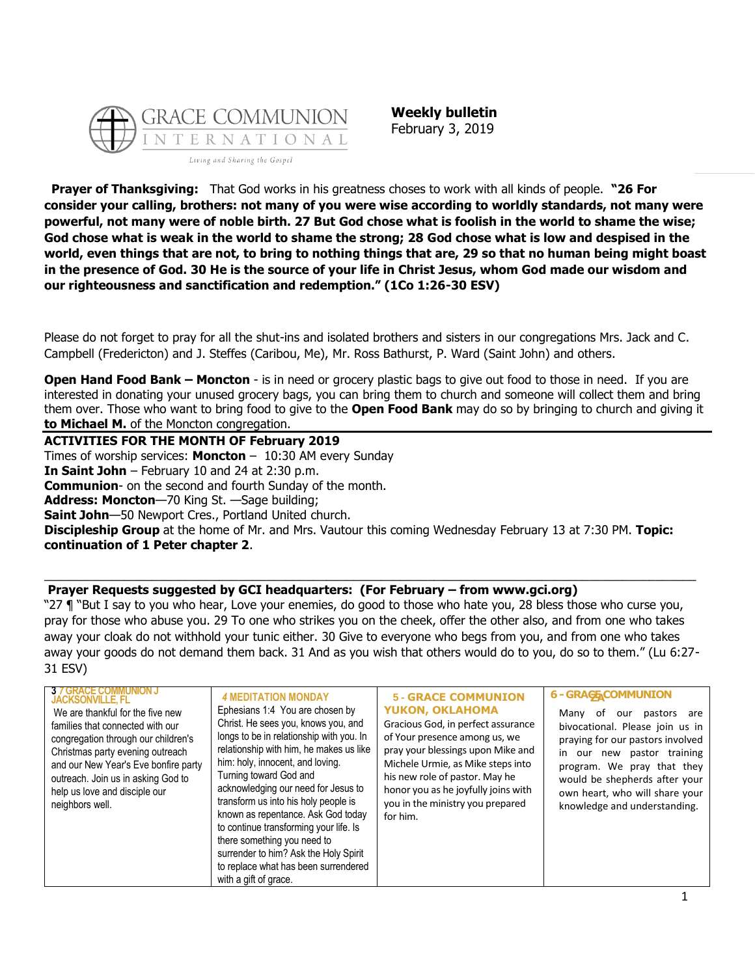

**Weekly bulletin** February 3, 2019

**Prayer of Thanksgiving:** That God works in his greatness choses to work with all kinds of people. **"26 For consider your calling, brothers: not many of you were wise according to worldly standards, not many were powerful, not many were of noble birth. 27 But God chose what is foolish in the world to shame the wise; God chose what is weak in the world to shame the strong; 28 God chose what is low and despised in the world, even things that are not, to bring to nothing things that are, 29 so that no human being might boast in the presence of God. 30 He is the source of your life in Christ Jesus, whom God made our wisdom and our righteousness and sanctification and redemption." (1Co 1:26-30 ESV)**

Please do not forget to pray for all the shut-ins and isolated brothers and sisters in our congregations Mrs. Jack and C. Campbell (Fredericton) and J. Steffes (Caribou, Me), Mr. Ross Bathurst, P. Ward (Saint John) and others.

**Open Hand Food Bank – Moncton** - is in need or grocery plastic bags to give out food to those in need. If you are interested in donating your unused grocery bags, you can bring them to church and someone will collect them and bring them over. Those who want to bring food to give to the **Open Food Bank** may do so by bringing to church and giving it **to Michael M.** of the Moncton congregation.

**ACTIVITIES FOR THE MONTH OF February 2019** Times of worship services: **Moncton** – 10:30 AM every Sunday **In Saint John** – February 10 and 24 at 2:30 p.m. **Communion**- on the second and fourth Sunday of the month. **Address: Moncton**—70 King St. —Sage building; **Saint John**—50 Newport Cres., Portland United church. **Discipleship Group** at the home of Mr. and Mrs. Vautour this coming Wednesday February 13 at 7:30 PM. **Topic: continuation of 1 Peter chapter 2**.

# **Prayer Requests suggested by GCI headquarters: (For February – from www.gci.org)**

"27 ¶ "But I say to you who hear, Love your enemies, do good to those who hate you, 28 bless those who curse you, pray for those who abuse you. 29 To one who strikes you on the cheek, offer the other also, and from one who takes away your cloak do not withhold your tunic either. 30 Give to everyone who begs from you, and from one who takes away your goods do not demand them back. 31 And as you wish that others would do to you, do so to them." (Lu 6:27- 31 ESV)

 $\_$  ,  $\_$  ,  $\_$  ,  $\_$  ,  $\_$  ,  $\_$  ,  $\_$  ,  $\_$  ,  $\_$  ,  $\_$  ,  $\_$  ,  $\_$  ,  $\_$  ,  $\_$  ,  $\_$  ,  $\_$  ,  $\_$  ,  $\_$  ,  $\_$  ,  $\_$  ,  $\_$  ,  $\_$  ,  $\_$  ,  $\_$  ,  $\_$  ,  $\_$  ,  $\_$  ,  $\_$  ,  $\_$  ,  $\_$  ,  $\_$  ,  $\_$  ,  $\_$  ,  $\_$  ,  $\_$  ,  $\_$  ,  $\_$  ,

| 3 7 GRACE COMM<br><b>JACKSONVILLE, FL</b><br>We are thankful for the five new<br>families that connected with our<br>congregation through our children's<br>Christmas party evening outreach<br>and our New Year's Eve bonfire party<br>outreach. Join us in asking God to<br>help us love and disciple our<br>neighbors well. | <b>4 MEDITATION MONDAY</b><br>Ephesians 1:4 You are chosen by<br>Christ. He sees you, knows you, and<br>longs to be in relationship with you. In<br>relationship with him, he makes us like<br>him: holy, innocent, and loving.<br>Turning toward God and<br>acknowledging our need for Jesus to<br>transform us into his holy people is<br>known as repentance. Ask God today<br>to continue transforming your life. Is<br>there something you need to<br>surrender to him? Ask the Holy Spirit<br>to replace what has been surrendered<br>with a gift of grace. | <b>5 - GRACE COMMUNION</b><br><b>YUKON, OKLAHOMA</b><br>Gracious God, in perfect assurance<br>of Your presence among us, we<br>pray your blessings upon Mike and<br>Michele Urmie, as Mike steps into<br>his new role of pastor. May he<br>honor you as he joyfully joins with<br>you in the ministry you prepared<br>for him. | 6 - GRAGE COMMUNION<br>Many<br>our pastors are<br>of<br>bivocational. Please join us in<br>praying for our pastors involved<br>in our new pastor training<br>program. We pray that they<br>would be shepherds after your<br>own heart, who will share your<br>knowledge and understanding. |
|--------------------------------------------------------------------------------------------------------------------------------------------------------------------------------------------------------------------------------------------------------------------------------------------------------------------------------|-------------------------------------------------------------------------------------------------------------------------------------------------------------------------------------------------------------------------------------------------------------------------------------------------------------------------------------------------------------------------------------------------------------------------------------------------------------------------------------------------------------------------------------------------------------------|--------------------------------------------------------------------------------------------------------------------------------------------------------------------------------------------------------------------------------------------------------------------------------------------------------------------------------|--------------------------------------------------------------------------------------------------------------------------------------------------------------------------------------------------------------------------------------------------------------------------------------------|
|--------------------------------------------------------------------------------------------------------------------------------------------------------------------------------------------------------------------------------------------------------------------------------------------------------------------------------|-------------------------------------------------------------------------------------------------------------------------------------------------------------------------------------------------------------------------------------------------------------------------------------------------------------------------------------------------------------------------------------------------------------------------------------------------------------------------------------------------------------------------------------------------------------------|--------------------------------------------------------------------------------------------------------------------------------------------------------------------------------------------------------------------------------------------------------------------------------------------------------------------------------|--------------------------------------------------------------------------------------------------------------------------------------------------------------------------------------------------------------------------------------------------------------------------------------------|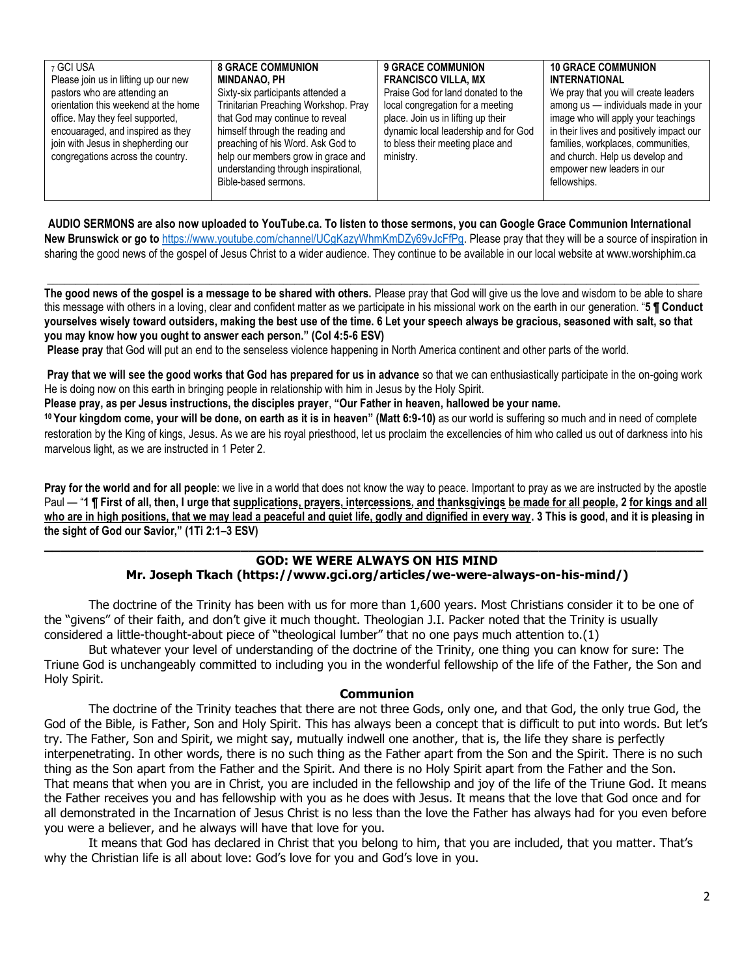| 7 GCI USA                            | <b>8 GRACE COMMUNION</b>             | <b>9 GRACE COMMUNION</b>             | <b>10 GRACE COMMUNION</b>                |
|--------------------------------------|--------------------------------------|--------------------------------------|------------------------------------------|
| Please join us in lifting up our new | <b>MINDANAO, PH</b>                  | <b>FRANCISCO VILLA, MX</b>           | <b>INTERNATIONAL</b>                     |
| pastors who are attending an         | Sixty-six participants attended a    | Praise God for land donated to the   | We pray that you will create leaders     |
| orientation this weekend at the home | Trinitarian Preaching Workshop. Pray | local congregation for a meeting     | among us - individuals made in your      |
| office. May they feel supported.     | that God may continue to reveal      | place. Join us in lifting up their   | image who will apply your teachings      |
| encouaraged, and inspired as they    | himself through the reading and      | dynamic local leadership and for God | in their lives and positively impact our |
| join with Jesus in shepherding our   | preaching of his Word. Ask God to    | to bless their meeting place and     | families, workplaces, communities,       |
| congregations across the country.    | help our members grow in grace and   | ministry.                            | and church. Help us develop and          |
|                                      | understanding through inspirational, |                                      | empower new leaders in our               |
|                                      | Bible-based sermons.                 |                                      | fellowships.                             |
|                                      |                                      |                                      |                                          |

**AUDIO SERMONS are also now uploaded to YouTube.ca. To listen to those sermons, you can Google Grace Communion International New Brunswick or go to** [https://www.youtube.com/channel/UCgKazyWhmKmDZy69vJcFfPg.](https://www.youtube.com/channel/UCgKazyWhmKmDZy69vJcFfPg) Please pray that they will be a source of inspiration in sharing the good news of the gospel of Jesus Christ to a wider audience. They continue to be available in our local website at www.worshiphim.ca

**The good news of the gospel is a message to be shared with others.** Please pray that God will give us the love and wisdom to be able to share this message with others in a loving, clear and confident matter as we participate in his missional work on the earth in our generation. "**5 ¶ Conduct yourselves wisely toward outsiders, making the best use of the time. 6 Let your speech always be gracious, seasoned with salt, so that you may know how you ought to answer each person." (Col 4:5-6 ESV)**

**\_\_\_\_\_\_\_\_\_\_\_\_\_\_\_\_\_\_\_\_\_\_\_\_\_\_\_\_\_\_\_\_\_\_\_\_\_\_\_\_\_\_\_\_\_\_\_\_\_\_\_\_\_\_\_\_\_\_\_\_\_\_\_\_\_\_\_\_\_\_\_\_\_\_\_\_\_\_\_\_\_\_\_\_\_\_\_\_\_\_\_\_\_\_\_\_\_\_\_\_\_\_\_\_\_\_\_\_\_\_\_\_\_\_\_\_**

**Please pray** that God will put an end to the senseless violence happening in North America continent and other parts of the world.

**Pray that we will see the good works that God has prepared for us in advance** so that we can enthusiastically participate in the on-going work He is doing now on this earth in bringing people in relationship with him in Jesus by the Holy Spirit.

**Please pray, as per Jesus instructions, the disciples prayer**, **"Our Father in heaven, hallowed be your name.**

**<sup>10</sup> Your kingdom come, your will be done, on earth as it is in heaven" (Matt 6:9-10)** as our world is suffering so much and in need of complete restoration by the King of kings, Jesus. As we are his royal priesthood, let us proclaim the excellencies of him who called us out of darkness into his marvelous light, as we are instructed in 1 Peter 2.

**Pray for the world and for all people**: we live in a world that does not know the way to peace. Important to pray as we are instructed by the apostle Paul — "**1 ¶ First of all, then, I urge that supplications, prayers, intercessions, and thanksgivings be made for all people, 2 for kings and all who are in high positions, that we may lead a peaceful and quiet life, godly and dignified in every way. 3 This is good, and it is pleasing in the sight of God our Savior," (1Ti 2:1–3 ESV)**

## **\_\_\_\_\_\_\_\_\_\_\_\_\_\_\_\_\_\_\_\_\_\_\_\_\_\_\_\_\_\_\_\_\_\_\_\_\_\_\_\_\_\_\_\_\_\_\_\_\_\_\_\_\_\_\_\_\_\_\_\_\_\_\_\_\_\_\_\_\_\_\_\_\_\_\_\_\_\_\_\_\_\_\_\_ GOD: WE WERE ALWAYS ON HIS MIND Mr. Joseph Tkach (https://www.gci.org/articles/we-were-always-on-his-mind/)**

The doctrine of the Trinity has been with us for more than 1,600 years. Most Christians consider it to be one of the "givens" of their faith, and don't give it much thought. Theologian J.I. Packer noted that the Trinity is usually considered a little-thought-about piece of "theological lumber" that no one pays much attention to.(1)

But whatever your level of understanding of the doctrine of the Trinity, one thing you can know for sure: The Triune God is unchangeably committed to including you in the wonderful fellowship of the life of the Father, the Son and Holy Spirit.

## **Communion**

The doctrine of the Trinity teaches that there are not three Gods, only one, and that God, the only true God, the God of the Bible, is Father, Son and Holy Spirit. This has always been a concept that is difficult to put into words. But let's try. The Father, Son and Spirit, we might say, mutually indwell one another, that is, the life they share is perfectly interpenetrating. In other words, there is no such thing as the Father apart from the Son and the Spirit. There is no such thing as the Son apart from the Father and the Spirit. And there is no Holy Spirit apart from the Father and the Son. That means that when you are in Christ, you are included in the fellowship and joy of the life of the Triune God. It means the Father receives you and has fellowship with you as he does with Jesus. It means that the love that God once and for all demonstrated in the Incarnation of Jesus Christ is no less than the love the Father has always had for you even before you were a believer, and he always will have that love for you.

It means that God has declared in Christ that you belong to him, that you are included, that you matter. That's why the Christian life is all about love: God's love for you and God's love in you.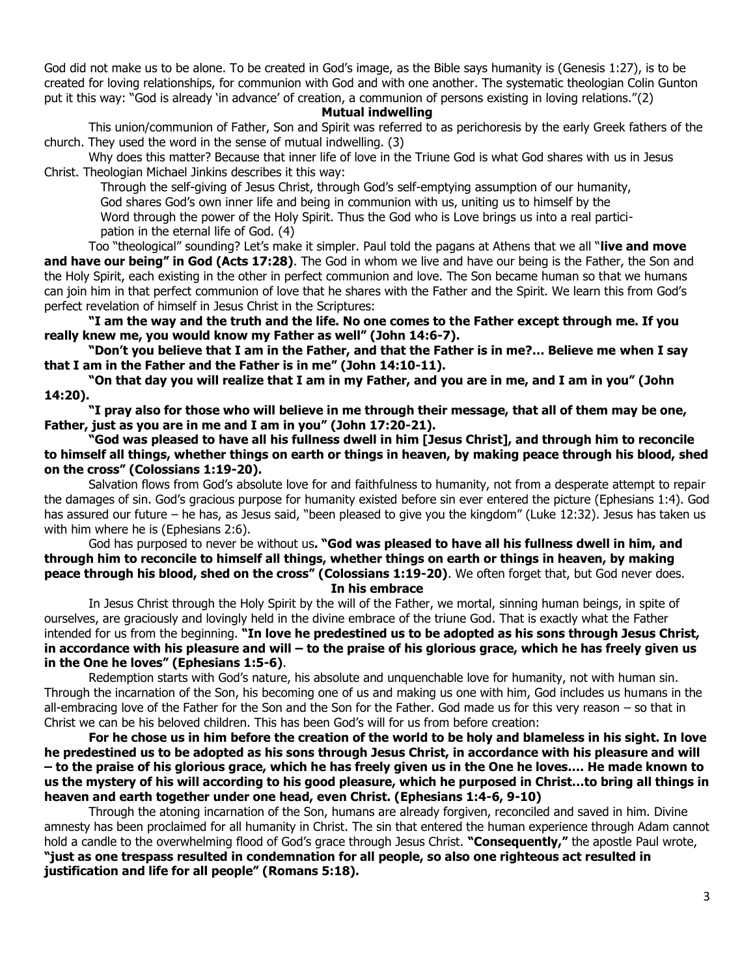God did not make us to be alone. To be created in God's image, as the Bible says humanity is ([Genesis 1:27\)](http://biblia.com/bible/niv/Gen%201.27), is to be created for loving relationships, for communion with God and with one another. The systematic theologian Colin Gunton put it this way: "God is already 'in advance' of creation, a communion of persons existing in loving relations."(2)

#### **Mutual indwelling**

This union/communion of Father, Son and Spirit was referred to as perichoresis by the early Greek fathers of the church. They used the word in the sense of mutual indwelling. (3)

Why does this matter? Because that inner life of love in the Triune God is what God shares with us in Jesus Christ. Theologian Michael Jinkins describes it this way:

Through the self-giving of Jesus Christ, through God's self-emptying assumption of our humanity, God shares God's own inner life and being in communion with us, uniting us to himself by the Word through the power of the Holy Spirit. Thus the God who is Love brings us into a real participation in the eternal life of God. (4)

Too "theological" sounding? Let's make it simpler. Paul told the pagans at Athens that we all "**live and move and have our being" in God [\(Acts 17:28\)](http://biblia.com/bible/niv/Acts%2017.28)**. The God in whom we live and have our being is the Father, the Son and the Holy Spirit, each existing in the other in perfect communion and love. The Son became human so that we humans can join him in that perfect communion of love that he shares with the Father and the Spirit. We learn this from God's perfect revelation of himself in Jesus Christ in the Scriptures:

**"I am the way and the truth and the life. No one comes to the Father except through me. If you really knew me, you would know my Father as well" ([John 14:6-7\)](http://biblia.com/bible/niv/John%2014.6-7).**

**"Don't you believe that I am in the Father, and that the Father is in me?… Believe me when I say that I am in the Father and the Father is in me" ([John 14:10-11\)](http://biblia.com/bible/niv/John%2014.10-11).**

**"On that day you will realize that I am in my Father, and you are in me, and I am in you" ([John](http://biblia.com/bible/niv/John%2014.20)  [14:20\)](http://biblia.com/bible/niv/John%2014.20).**

**"I pray also for those who will believe in me through their message, that all of them may be one, Father, just as you are in me and I am in you" ([John 17:20-21\)](http://biblia.com/bible/niv/John%2017.20-21).**

**"God was pleased to have all his fullness dwell in him [Jesus Christ], and through him to reconcile to himself all things, whether things on earth or things in heaven, by making peace through his blood, shed on the cross" ([Colossians 1:19-20\)](http://biblia.com/bible/niv/Col%201.19-20).**

Salvation flows from God's absolute love for and faithfulness to humanity, not from a desperate attempt to repair the damages of sin. God's gracious purpose for humanity existed before sin ever entered the picture [\(Ephesians 1:4\)](http://biblia.com/bible/niv/Eph%201.4). God has assured our future – he has, as Jesus said, "been pleased to give you the kingdom" [\(Luke 12:32\)](http://biblia.com/bible/niv/Luke%2012.32). Jesus has taken us with him where he is [\(Ephesians 2:6\)](http://biblia.com/bible/niv/Eph%202.6).

God has purposed to never be without us**. "God was pleased to have all his fullness dwell in him, and through him to reconcile to himself all things, whether things on earth or things in heaven, by making peace through his blood, shed on the cross" ([Colossians 1:19-20\)](http://biblia.com/bible/niv/Col%201.19-20)**. We often forget that, but God never does. **In his embrace**

In Jesus Christ through the Holy Spirit by the will of the Father, we mortal, sinning human beings, in spite of ourselves, are graciously and lovingly held in the divine embrace of the triune God. That is exactly what the Father intended for us from the beginning. **"In love he predestined us to be adopted as his sons through Jesus Christ, in accordance with his pleasure and will – to the praise of his glorious grace, which he has freely given us in the One he loves" ([Ephesians 1:5-6\)](http://biblia.com/bible/niv/Eph%201.5-6)**.

Redemption starts with God's nature, his absolute and unquenchable love for humanity, not with human sin. Through the incarnation of the Son, his becoming one of us and making us one with him, God includes us humans in the all-embracing love of the Father for the Son and the Son for the Father. God made us for this very reason – so that in Christ we can be his beloved children. This has been God's will for us from before creation:

**For he chose us in him before the creation of the world to be holy and blameless in his sight. In love he predestined us to be adopted as his sons through Jesus Christ, in accordance with his pleasure and will – to the praise of his glorious grace, which he has freely given us in the One he loves…. He made known to us the mystery of his will according to his good pleasure, which he purposed in Christ…to bring all things in heaven and earth together under one head, even Christ. [\(Ephesians 1:4-6,](http://biblia.com/bible/niv/Eph%201.4-6) [9-10\)](http://biblia.com/bible/niv/Ephesians%201.9-10)**

Through the atoning incarnation of the Son, humans are already forgiven, reconciled and saved in him. Divine amnesty has been proclaimed for all humanity in Christ. The sin that entered the human experience through Adam cannot hold a candle to the overwhelming flood of God's grace through Jesus Christ. **"Consequently,"** the apostle Paul wrote, **"just as one trespass resulted in condemnation for all people, so also one righteous act resulted in justification and life for all people" ([Romans 5:18\)](http://biblia.com/bible/niv/Rom%205.18).**